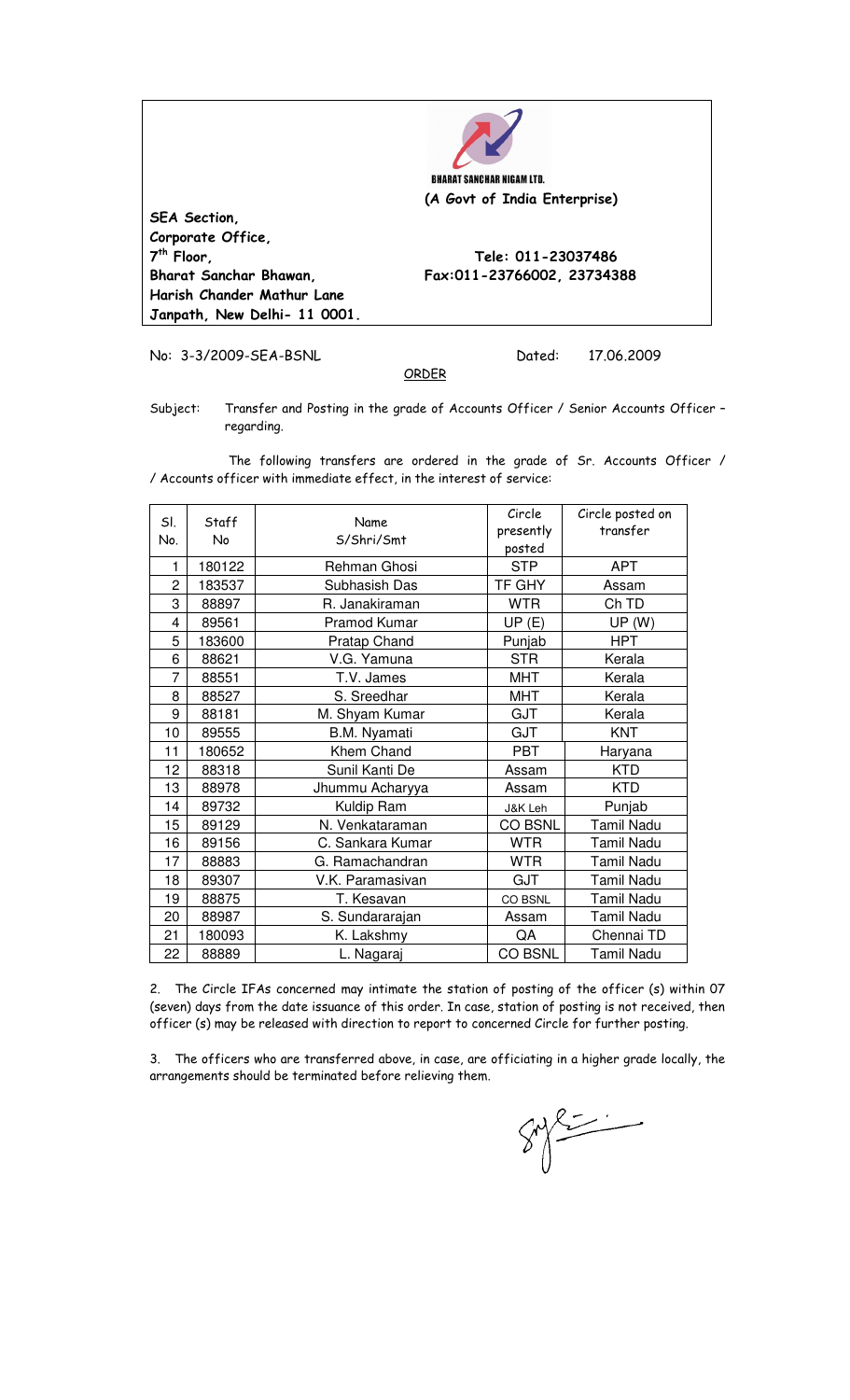

**th Floor, Tele: 011-23037486** 

**SEA Section, Corporate Office, 7 Bharat Sanchar Bhawan, Fax:011-23766002, 23734388 Harish Chander Mathur Lane Janpath, New Delhi- 11 0001.** 

No: 3-3/2009-SEA-BSNL Dated: 17.06.2009

Subject: Transfer and Posting in the grade of Accounts Officer / Senior Accounts Officer regarding.

ORDER

 The following transfers are ordered in the grade of Sr. Accounts Officer / / Accounts officer with immediate effect, in the interest of service:

| SI.<br>No. | Staff<br>No | Name<br>S/Shri/Smt | Circle<br>presently<br>posted | Circle posted on<br>transfer |
|------------|-------------|--------------------|-------------------------------|------------------------------|
| 1          | 180122      | Rehman Ghosi       | <b>STP</b>                    | <b>APT</b>                   |
| 2          | 183537      | Subhasish Das      | TF GHY                        | Assam                        |
| 3          | 88897       | R. Janakiraman     | <b>WTR</b>                    | Ch TD                        |
| 4          | 89561       | Pramod Kumar       | UP(E)                         | UP(W)                        |
| 5          | 183600      | Pratap Chand       | Punjab                        | <b>HPT</b>                   |
| 6          | 88621       | V.G. Yamuna        | <b>STR</b>                    | Kerala                       |
| 7          | 88551       | T.V. James         | <b>MHT</b>                    | Kerala                       |
| 8          | 88527       | S. Sreedhar        | <b>MHT</b>                    | Kerala                       |
| 9          | 88181       | M. Shyam Kumar     | GJT                           | Kerala                       |
| 10         | 89555       | B.M. Nyamati       | GJT                           | <b>KNT</b>                   |
| 11         | 180652      | Khem Chand         | <b>PBT</b>                    | Haryana                      |
| 12         | 88318       | Sunil Kanti De     | Assam                         | <b>KTD</b>                   |
| 13         | 88978       | Jhummu Acharyya    | Assam                         | <b>KTD</b>                   |
| 14         | 89732       | Kuldip Ram         | J&K Leh                       | Punjab                       |
| 15         | 89129       | N. Venkataraman    | CO BSNL                       | Tamil Nadu                   |
| 16         | 89156       | C. Sankara Kumar   | <b>WTR</b>                    | Tamil Nadu                   |
| 17         | 88883       | G. Ramachandran    | <b>WTR</b>                    | Tamil Nadu                   |
| 18         | 89307       | V.K. Paramasivan   | <b>GJT</b>                    | <b>Tamil Nadu</b>            |
| 19         | 88875       | T. Kesavan         | CO BSNL                       | Tamil Nadu                   |
| 20         | 88987       | S. Sundararajan    | Assam                         | Tamil Nadu                   |
| 21         | 180093      | K. Lakshmy         | QA                            | Chennai TD                   |
| 22         | 88889       | L. Nagaraj         | <b>CO BSNL</b>                | <b>Tamil Nadu</b>            |

2. The Circle IFAs concerned may intimate the station of posting of the officer (s) within 07 (seven) days from the date issuance of this order. In case, station of posting is not received, then officer (s) may be released with direction to report to concerned Circle for further posting.

3. The officers who are transferred above, in case, are officiating in a higher grade locally, the arrangements should be terminated before relieving them.

 $\sum$